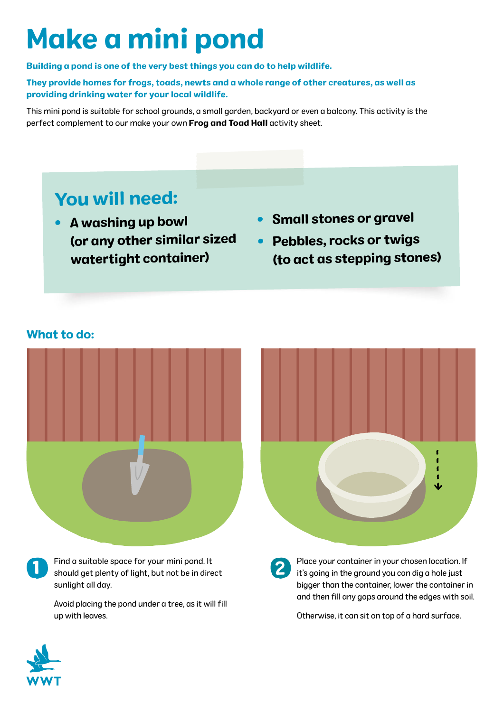# Make a mini pond

Building a pond is one of the very best things you can do to help wildlife.

They provide homes for frogs, toads, newts and a whole range of other creatures, as well as providing drinking water for your local wildlife.

This mini pond is suitable for school grounds, a small garden, backyard or even a balcony. This activity is the perfect complement to our make your own Frog and Toad Hall activity sheet.

## You will need:

- A washing up bowl (or any other similar sized watertight container)
- Small stones or gravel
- Pebbles, rocks or twigs (to act as stepping stones)

#### What to do:





Find a suitable space for your mini pond. It should get plenty of light, but not be in direct sunlight all day.

Avoid placing the pond under a tree, as it will fill up with leaves.

Place your container in your chosen location. If it's going in the ground you can dig a hole just bigger than the container, lower the container in and then fill any gaps around the edges with soil.

Otherwise, it can sit on top of a hard surface.